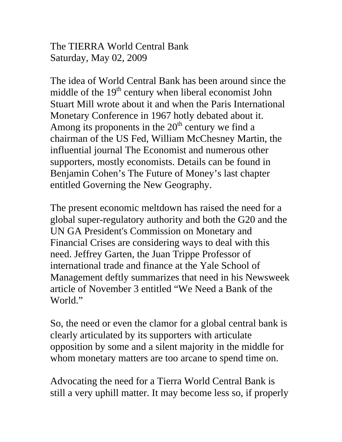The TIERRA World Central Bank Saturday, May 02, 2009

The idea of World Central Bank has been around since the middle of the  $19<sup>th</sup>$  century when liberal economist John Stuart Mill wrote about it and when the Paris International Monetary Conference in 1967 hotly debated about it. Among its proponents in the  $20<sup>th</sup>$  century we find a chairman of the US Fed, William McChesney Martin, the influential journal The Economist and numerous other supporters, mostly economists. Details can be found in Benjamin Cohen's The Future of Money's last chapter entitled Governing the New Geography.

The present economic meltdown has raised the need for a global super-regulatory authority and both the G20 and the UN GA President's Commission on Monetary and Financial Crises are considering ways to deal with this need. Jeffrey Garten, the Juan Trippe Professor of international trade and finance at the Yale School of Management deftly summarizes that need in his Newsweek article of November 3 entitled "We Need a Bank of the World<sup>"</sup>

So, the need or even the clamor for a global central bank is clearly articulated by its supporters with articulate opposition by some and a silent majority in the middle for whom monetary matters are too arcane to spend time on.

Advocating the need for a Tierra World Central Bank is still a very uphill matter. It may become less so, if properly